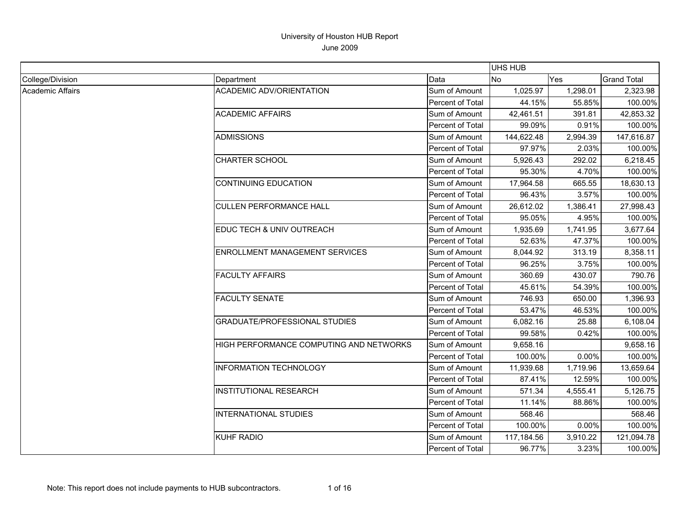|                  |                                         |                  | <b>UHS HUB</b> |          |                    |
|------------------|-----------------------------------------|------------------|----------------|----------|--------------------|
| College/Division | Department                              | Data             | No             | Yes      | <b>Grand Total</b> |
| Academic Affairs | <b>ACADEMIC ADV/ORIENTATION</b>         | Sum of Amount    | 1,025.97       | 1,298.01 | 2,323.98           |
|                  |                                         | Percent of Total | 44.15%         | 55.85%   | 100.00%            |
|                  | <b>ACADEMIC AFFAIRS</b>                 | Sum of Amount    | 42,461.51      | 391.81   | 42,853.32          |
|                  |                                         | Percent of Total | 99.09%         | 0.91%    | 100.00%            |
|                  | <b>ADMISSIONS</b>                       | Sum of Amount    | 144,622.48     | 2,994.39 | 147,616.87         |
|                  |                                         | Percent of Total | 97.97%         | 2.03%    | 100.00%            |
|                  | <b>CHARTER SCHOOL</b>                   | Sum of Amount    | 5,926.43       | 292.02   | 6,218.45           |
|                  |                                         | Percent of Total | 95.30%         | 4.70%    | 100.00%            |
|                  | <b>CONTINUING EDUCATION</b>             | Sum of Amount    | 17,964.58      | 665.55   | 18,630.13          |
|                  |                                         | Percent of Total | 96.43%         | 3.57%    | 100.00%            |
|                  | <b>CULLEN PERFORMANCE HALL</b>          | Sum of Amount    | 26,612.02      | 1,386.41 | 27,998.43          |
|                  |                                         | Percent of Total | 95.05%         | 4.95%    | 100.00%            |
|                  | EDUC TECH & UNIV OUTREACH               | Sum of Amount    | 1,935.69       | 1,741.95 | 3,677.64           |
|                  |                                         | Percent of Total | 52.63%         | 47.37%   | 100.00%            |
|                  | ENROLLMENT MANAGEMENT SERVICES          | Sum of Amount    | 8,044.92       | 313.19   | 8,358.11           |
|                  |                                         | Percent of Total | 96.25%         | 3.75%    | 100.00%            |
|                  | <b>FACULTY AFFAIRS</b>                  | Sum of Amount    | 360.69         | 430.07   | 790.76             |
|                  |                                         | Percent of Total | 45.61%         | 54.39%   | 100.00%            |
|                  | <b>FACULTY SENATE</b>                   | Sum of Amount    | 746.93         | 650.00   | 1,396.93           |
|                  |                                         | Percent of Total | 53.47%         | 46.53%   | 100.00%            |
|                  | <b>GRADUATE/PROFESSIONAL STUDIES</b>    | Sum of Amount    | 6,082.16       | 25.88    | 6,108.04           |
|                  |                                         | Percent of Total | 99.58%         | 0.42%    | 100.00%            |
|                  | HIGH PERFORMANCE COMPUTING AND NETWORKS | Sum of Amount    | 9,658.16       |          | 9,658.16           |
|                  |                                         | Percent of Total | 100.00%        | 0.00%    | 100.00%            |
|                  | <b>INFORMATION TECHNOLOGY</b>           | Sum of Amount    | 11,939.68      | 1,719.96 | 13,659.64          |
|                  |                                         | Percent of Total | 87.41%         | 12.59%   | 100.00%            |
|                  | <b>INSTITUTIONAL RESEARCH</b>           | Sum of Amount    | 571.34         | 4,555.41 | 5,126.75           |
|                  |                                         | Percent of Total | 11.14%         | 88.86%   | 100.00%            |
|                  | <b>INTERNATIONAL STUDIES</b>            | Sum of Amount    | 568.46         |          | 568.46             |
|                  |                                         | Percent of Total | 100.00%        | 0.00%    | 100.00%            |
|                  | <b>KUHF RADIO</b>                       | Sum of Amount    | 117,184.56     | 3,910.22 | 121,094.78         |
|                  |                                         | Percent of Total | 96.77%         | 3.23%    | 100.00%            |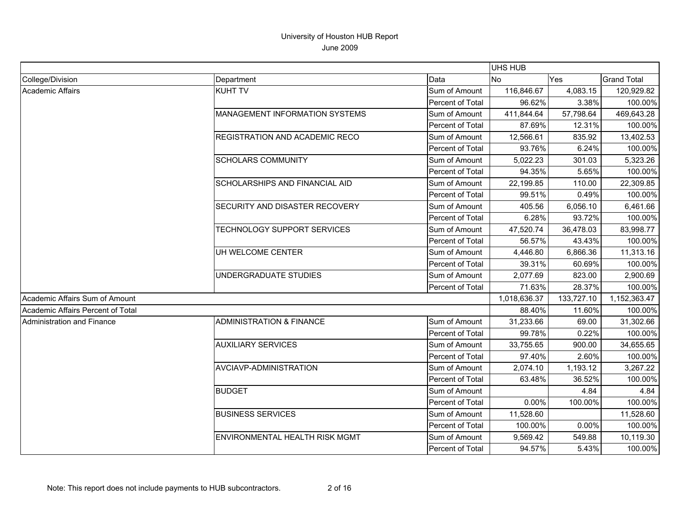|                                   |                                     |                  | UHS HUB      |            |                    |
|-----------------------------------|-------------------------------------|------------------|--------------|------------|--------------------|
| College/Division                  | Department                          | Data             | <b>INo</b>   | Yes        | <b>Grand Total</b> |
| <b>Academic Affairs</b>           | <b>KUHT TV</b>                      | Sum of Amount    | 116,846.67   | 4,083.15   | 120,929.82         |
|                                   |                                     | Percent of Total | 96.62%       | 3.38%      | 100.00%            |
|                                   | MANAGEMENT INFORMATION SYSTEMS      | Sum of Amount    | 411,844.64   | 57,798.64  | 469,643.28         |
|                                   |                                     | Percent of Total | 87.69%       | 12.31%     | 100.00%            |
|                                   | REGISTRATION AND ACADEMIC RECO      | Sum of Amount    | 12,566.61    | 835.92     | 13,402.53          |
|                                   |                                     | Percent of Total | 93.76%       | 6.24%      | 100.00%            |
|                                   | <b>SCHOLARS COMMUNITY</b>           | Sum of Amount    | 5,022.23     | 301.03     | 5,323.26           |
|                                   |                                     | Percent of Total | 94.35%       | 5.65%      | 100.00%            |
|                                   | SCHOLARSHIPS AND FINANCIAL AID      | Sum of Amount    | 22,199.85    | 110.00     | 22,309.85          |
|                                   |                                     | Percent of Total | 99.51%       | 0.49%      | 100.00%            |
|                                   | SECURITY AND DISASTER RECOVERY      | Sum of Amount    | 405.56       | 6,056.10   | 6,461.66           |
|                                   |                                     | Percent of Total | 6.28%        | 93.72%     | 100.00%            |
|                                   | TECHNOLOGY SUPPORT SERVICES         | Sum of Amount    | 47,520.74    | 36,478.03  | 83,998.77          |
|                                   |                                     | Percent of Total | 56.57%       | 43.43%     | 100.00%            |
|                                   | UH WELCOME CENTER                   | Sum of Amount    | 4,446.80     | 6,866.36   | 11,313.16          |
|                                   |                                     | Percent of Total | 39.31%       | 60.69%     | 100.00%            |
|                                   | UNDERGRADUATE STUDIES               | Sum of Amount    | 2,077.69     | 823.00     | 2,900.69           |
|                                   |                                     | Percent of Total | 71.63%       | 28.37%     | 100.00%            |
| Academic Affairs Sum of Amount    |                                     |                  | 1,018,636.37 | 133,727.10 | 1,152,363.47       |
| Academic Affairs Percent of Total |                                     |                  | 88.40%       | 11.60%     | 100.00%            |
| <b>Administration and Finance</b> | <b>ADMINISTRATION &amp; FINANCE</b> | Sum of Amount    | 31,233.66    | 69.00      | 31,302.66          |
|                                   |                                     | Percent of Total | 99.78%       | 0.22%      | 100.00%            |
|                                   | <b>AUXILIARY SERVICES</b>           | Sum of Amount    | 33,755.65    | 900.00     | 34,655.65          |
|                                   |                                     | Percent of Total | 97.40%       | 2.60%      | 100.00%            |
|                                   | AVCIAVP-ADMINISTRATION              | Sum of Amount    | 2,074.10     | 1,193.12   | 3,267.22           |
|                                   |                                     | Percent of Total | 63.48%       | 36.52%     | 100.00%            |
|                                   | <b>BUDGET</b>                       | Sum of Amount    |              | 4.84       | 4.84               |
|                                   |                                     | Percent of Total | 0.00%        | 100.00%    | 100.00%            |
|                                   | <b>BUSINESS SERVICES</b>            | Sum of Amount    | 11,528.60    |            | 11,528.60          |
|                                   |                                     | Percent of Total | 100.00%      | 0.00%      | 100.00%            |
|                                   | ENVIRONMENTAL HEALTH RISK MGMT      | Sum of Amount    | 9,569.42     | 549.88     | 10,119.30          |
|                                   |                                     | Percent of Total | 94.57%       | 5.43%      | 100.00%            |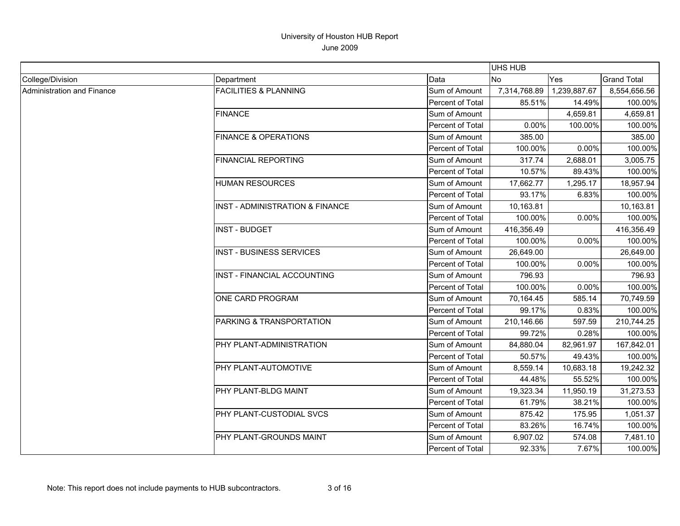|                            |                                  |                         | UHS HUB        |              |                    |
|----------------------------|----------------------------------|-------------------------|----------------|--------------|--------------------|
| College/Division           | Department                       | Data                    | N <sub>o</sub> | <b>Yes</b>   | <b>Grand Total</b> |
| Administration and Finance | <b>FACILITIES &amp; PLANNING</b> | Sum of Amount           | 7,314,768.89   | 1,239,887.67 | 8,554,656.56       |
|                            |                                  | <b>Percent of Total</b> | 85.51%         | 14.49%       | 100.00%            |
|                            | <b>FINANCE</b>                   | Sum of Amount           |                | 4,659.81     | 4,659.81           |
|                            |                                  | Percent of Total        | 0.00%          | 100.00%      | 100.00%            |
|                            | <b>FINANCE &amp; OPERATIONS</b>  | Sum of Amount           | 385.00         |              | 385.00             |
|                            |                                  | Percent of Total        | 100.00%        | 0.00%        | 100.00%            |
|                            | <b>FINANCIAL REPORTING</b>       | Sum of Amount           | 317.74         | 2,688.01     | 3,005.75           |
|                            |                                  | Percent of Total        | 10.57%         | 89.43%       | 100.00%            |
|                            | <b>HUMAN RESOURCES</b>           | Sum of Amount           | 17,662.77      | 1,295.17     | 18,957.94          |
|                            |                                  | Percent of Total        | 93.17%         | 6.83%        | 100.00%            |
|                            | INST - ADMINISTRATION & FINANCE  | Sum of Amount           | 10,163.81      |              | 10,163.81          |
|                            |                                  | Percent of Total        | 100.00%        | 0.00%        | 100.00%            |
|                            | <b>INST - BUDGET</b>             | Sum of Amount           | 416,356.49     |              | 416,356.49         |
|                            |                                  | Percent of Total        | 100.00%        | 0.00%        | 100.00%            |
|                            | <b>INST - BUSINESS SERVICES</b>  | Sum of Amount           | 26,649.00      |              | 26,649.00          |
|                            |                                  | Percent of Total        | 100.00%        | 0.00%        | 100.00%            |
|                            | INST - FINANCIAL ACCOUNTING      | Sum of Amount           | 796.93         |              | 796.93             |
|                            |                                  | Percent of Total        | 100.00%        | 0.00%        | 100.00%            |
|                            | ONE CARD PROGRAM                 | Sum of Amount           | 70,164.45      | 585.14       | 70,749.59          |
|                            |                                  | Percent of Total        | 99.17%         | 0.83%        | 100.00%            |
|                            | PARKING & TRANSPORTATION         | Sum of Amount           | 210,146.66     | 597.59       | 210,744.25         |
|                            |                                  | Percent of Total        | 99.72%         | 0.28%        | 100.00%            |
|                            | PHY PLANT-ADMINISTRATION         | Sum of Amount           | 84,880.04      | 82,961.97    | 167,842.01         |
|                            |                                  | Percent of Total        | 50.57%         | 49.43%       | 100.00%            |
|                            | PHY PLANT-AUTOMOTIVE             | Sum of Amount           | 8,559.14       | 10,683.18    | 19,242.32          |
|                            |                                  | Percent of Total        | 44.48%         | 55.52%       | 100.00%            |
|                            | PHY PLANT-BLDG MAINT             | Sum of Amount           | 19,323.34      | 11,950.19    | 31,273.53          |
|                            |                                  | Percent of Total        | 61.79%         | 38.21%       | 100.00%            |
|                            | PHY PLANT-CUSTODIAL SVCS         | Sum of Amount           | 875.42         | 175.95       | 1,051.37           |
|                            |                                  | Percent of Total        | 83.26%         | 16.74%       | 100.00%            |
|                            | PHY PLANT-GROUNDS MAINT          | Sum of Amount           | 6,907.02       | 574.08       | 7,481.10           |
|                            |                                  | Percent of Total        | 92.33%         | 7.67%        | 100.00%            |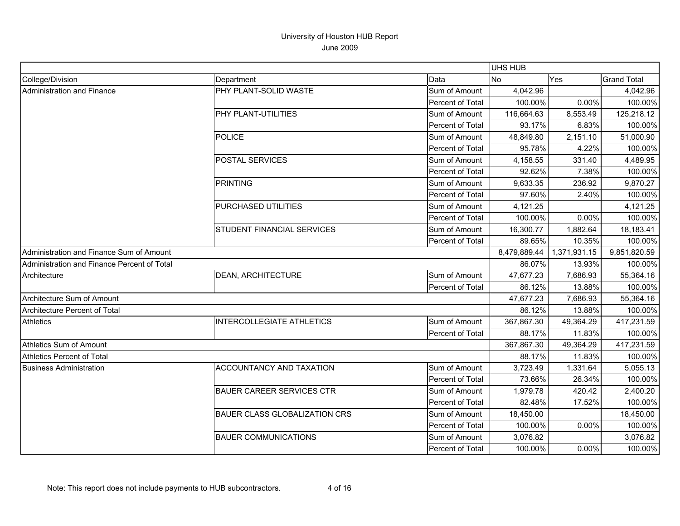|                                             |                                      |                  | <b>UHS HUB</b> |              |                    |
|---------------------------------------------|--------------------------------------|------------------|----------------|--------------|--------------------|
| College/Division                            | Department                           | Data             | <b>No</b>      | Yes          | <b>Grand Total</b> |
| Administration and Finance                  | PHY PLANT-SOLID WASTE                | Sum of Amount    | 4,042.96       |              | 4,042.96           |
|                                             |                                      | Percent of Total | 100.00%        | 0.00%        | 100.00%            |
|                                             | PHY PLANT-UTILITIES                  | Sum of Amount    | 116,664.63     | 8,553.49     | 125,218.12         |
|                                             |                                      | Percent of Total | 93.17%         | 6.83%        | 100.00%            |
|                                             | <b>POLICE</b>                        | Sum of Amount    | 48,849.80      | 2,151.10     | 51,000.90          |
|                                             |                                      | Percent of Total | 95.78%         | 4.22%        | 100.00%            |
|                                             | <b>POSTAL SERVICES</b>               | Sum of Amount    | 4,158.55       | 331.40       | 4,489.95           |
|                                             |                                      | Percent of Total | 92.62%         | 7.38%        | 100.00%            |
|                                             | <b>PRINTING</b>                      | Sum of Amount    | 9,633.35       | 236.92       | 9,870.27           |
|                                             |                                      | Percent of Total | 97.60%         | 2.40%        | 100.00%            |
|                                             | PURCHASED UTILITIES                  | Sum of Amount    | 4,121.25       |              | 4,121.25           |
|                                             |                                      | Percent of Total | 100.00%        | 0.00%        | 100.00%            |
|                                             | STUDENT FINANCIAL SERVICES           | Sum of Amount    | 16,300.77      | 1,882.64     | 18,183.41          |
|                                             |                                      | Percent of Total | 89.65%         | 10.35%       | 100.00%            |
| Administration and Finance Sum of Amount    |                                      | 8,479,889.44     | 1,371,931.15   | 9,851,820.59 |                    |
| Administration and Finance Percent of Total |                                      |                  | 86.07%         | 13.93%       | 100.00%            |
| Architecture                                | <b>DEAN, ARCHITECTURE</b>            | Sum of Amount    | 47,677.23      | 7,686.93     | 55,364.16          |
|                                             |                                      | Percent of Total | 86.12%         | 13.88%       | 100.00%            |
| Architecture Sum of Amount                  |                                      |                  | 47,677.23      | 7,686.93     | 55,364.16          |
| Architecture Percent of Total               |                                      |                  | 86.12%         | 13.88%       | 100.00%            |
| <b>Athletics</b>                            | <b>INTERCOLLEGIATE ATHLETICS</b>     | Sum of Amount    | 367,867.30     | 49,364.29    | 417,231.59         |
|                                             |                                      | Percent of Total | 88.17%         | 11.83%       | 100.00%            |
| Athletics Sum of Amount                     |                                      |                  | 367,867.30     | 49,364.29    | 417,231.59         |
| <b>Athletics Percent of Total</b>           |                                      |                  | 88.17%         | 11.83%       | 100.00%            |
| <b>Business Administration</b>              | ACCOUNTANCY AND TAXATION             | Sum of Amount    | 3,723.49       | 1,331.64     | 5,055.13           |
|                                             |                                      | Percent of Total | 73.66%         | 26.34%       | 100.00%            |
|                                             | <b>BAUER CAREER SERVICES CTR</b>     | Sum of Amount    | 1,979.78       | 420.42       | 2,400.20           |
|                                             |                                      | Percent of Total | 82.48%         | 17.52%       | 100.00%            |
|                                             | <b>BAUER CLASS GLOBALIZATION CRS</b> | Sum of Amount    | 18,450.00      |              | 18,450.00          |
|                                             |                                      | Percent of Total | 100.00%        | 0.00%        | 100.00%            |
|                                             | <b>BAUER COMMUNICATIONS</b>          | Sum of Amount    | 3,076.82       |              | 3,076.82           |
|                                             |                                      | Percent of Total | 100.00%        | $0.00\%$     | 100.00%            |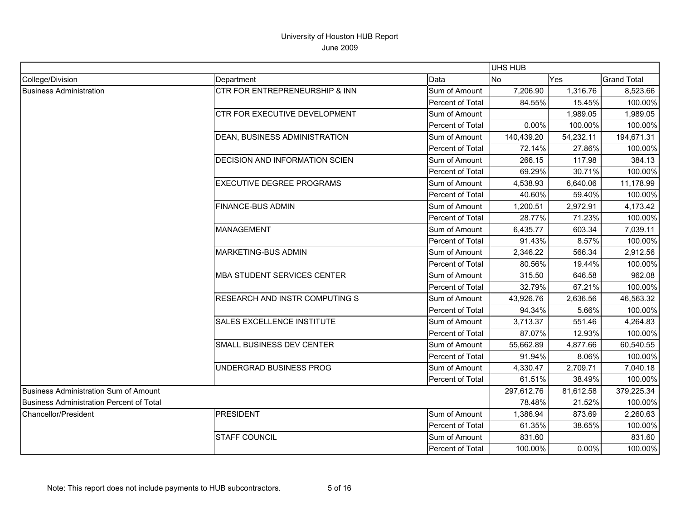|                                          |                                           |                         | <b>UHS HUB</b> |           |                    |
|------------------------------------------|-------------------------------------------|-------------------------|----------------|-----------|--------------------|
| College/Division                         | Department                                | Data                    | <b>No</b>      | Yes       | <b>Grand Total</b> |
| <b>Business Administration</b>           | <b>CTR FOR ENTREPRENEURSHIP &amp; INN</b> | Sum of Amount           | 7,206.90       | 1,316.76  | 8,523.66           |
|                                          |                                           | Percent of Total        | 84.55%         | 15.45%    | 100.00%            |
|                                          | CTR FOR EXECUTIVE DEVELOPMENT             | Sum of Amount           |                | 1,989.05  | 1,989.05           |
|                                          |                                           | Percent of Total        | $0.00\%$       | 100.00%   | 100.00%            |
|                                          | DEAN, BUSINESS ADMINISTRATION             | Sum of Amount           | 140,439.20     | 54,232.11 | 194,671.31         |
|                                          |                                           | Percent of Total        | 72.14%         | 27.86%    | 100.00%            |
|                                          | DECISION AND INFORMATION SCIEN            | Sum of Amount           | 266.15         | 117.98    | 384.13             |
|                                          |                                           | Percent of Total        | 69.29%         | 30.71%    | 100.00%            |
|                                          | <b>EXECUTIVE DEGREE PROGRAMS</b>          | Sum of Amount           | 4,538.93       | 6,640.06  | 11,178.99          |
|                                          |                                           | Percent of Total        | 40.60%         | 59.40%    | 100.00%            |
|                                          | <b>FINANCE-BUS ADMIN</b>                  | Sum of Amount           | 1,200.51       | 2,972.91  | 4,173.42           |
|                                          |                                           | Percent of Total        | 28.77%         | 71.23%    | 100.00%            |
|                                          | <b>MANAGEMENT</b>                         | Sum of Amount           | 6,435.77       | 603.34    | 7,039.11           |
|                                          |                                           | Percent of Total        | 91.43%         | 8.57%     | 100.00%            |
|                                          | <b>MARKETING-BUS ADMIN</b>                | Sum of Amount           | 2.346.22       | 566.34    | 2,912.56           |
|                                          |                                           | Percent of Total        | 80.56%         | 19.44%    | 100.00%            |
|                                          | <b>MBA STUDENT SERVICES CENTER</b>        | Sum of Amount           | 315.50         | 646.58    | 962.08             |
|                                          |                                           | Percent of Total        | 32.79%         | 67.21%    | 100.00%            |
|                                          | <b>RESEARCH AND INSTR COMPUTING S</b>     | Sum of Amount           | 43,926.76      | 2,636.56  | 46,563.32          |
|                                          |                                           | Percent of Total        | 94.34%         | 5.66%     | 100.00%            |
|                                          | <b>SALES EXCELLENCE INSTITUTE</b>         | Sum of Amount           | 3,713.37       | 551.46    | 4,264.83           |
|                                          |                                           | Percent of Total        | 87.07%         | 12.93%    | 100.00%            |
|                                          | SMALL BUSINESS DEV CENTER                 | Sum of Amount           | 55,662.89      | 4,877.66  | 60,540.55          |
|                                          |                                           | Percent of Total        | 91.94%         | 8.06%     | 100.00%            |
|                                          | UNDERGRAD BUSINESS PROG                   | Sum of Amount           | 4,330.47       | 2,709.71  | 7,040.18           |
|                                          |                                           | Percent of Total        | 61.51%         | 38.49%    | 100.00%            |
| Business Administration Sum of Amount    |                                           |                         | 297,612.76     | 81,612.58 | 379,225.34         |
| Business Administration Percent of Total |                                           |                         | 78.48%         | 21.52%    | 100.00%            |
| Chancellor/President                     | <b>PRESIDENT</b>                          | Sum of Amount           | 1,386.94       | 873.69    | 2,260.63           |
|                                          |                                           | Percent of Total        | 61.35%         | 38.65%    | 100.00%            |
|                                          | <b>STAFF COUNCIL</b>                      | Sum of Amount           | 831.60         |           | 831.60             |
|                                          |                                           | <b>Percent of Total</b> | 100.00%        | 0.00%     | 100.00%            |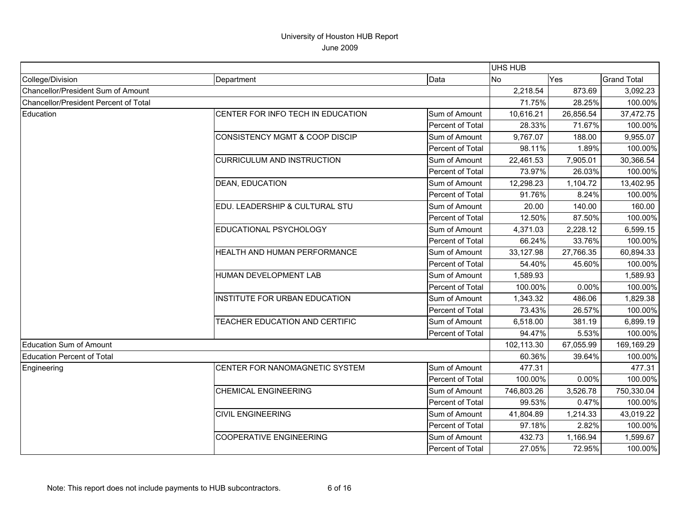|                                       |                                           |                  | <b>UHS HUB</b> |           |                    |
|---------------------------------------|-------------------------------------------|------------------|----------------|-----------|--------------------|
| College/Division                      | Department                                | Data             | <b>No</b>      | Yes       | <b>Grand Total</b> |
| Chancellor/President Sum of Amount    |                                           |                  | 2,218.54       | 873.69    | 3,092.23           |
| Chancellor/President Percent of Total |                                           |                  | 71.75%         | 28.25%    | 100.00%            |
| Education                             | CENTER FOR INFO TECH IN EDUCATION         | Sum of Amount    | 10,616.21      | 26,856.54 | 37,472.75          |
|                                       |                                           | Percent of Total | 28.33%         | 71.67%    | 100.00%            |
|                                       | <b>CONSISTENCY MGMT &amp; COOP DISCIP</b> | Sum of Amount    | 9,767.07       | 188.00    | 9,955.07           |
|                                       |                                           | Percent of Total | 98.11%         | 1.89%     | 100.00%            |
|                                       | <b>CURRICULUM AND INSTRUCTION</b>         | Sum of Amount    | 22,461.53      | 7,905.01  | 30,366.54          |
|                                       |                                           | Percent of Total | 73.97%         | 26.03%    | 100.00%            |
|                                       | <b>DEAN, EDUCATION</b>                    | Sum of Amount    | 12,298.23      | 1,104.72  | 13,402.95          |
|                                       |                                           | Percent of Total | 91.76%         | 8.24%     | 100.00%            |
|                                       | EDU. LEADERSHIP & CULTURAL STU            | Sum of Amount    | 20.00          | 140.00    | 160.00             |
|                                       |                                           | Percent of Total | 12.50%         | 87.50%    | 100.00%            |
|                                       | EDUCATIONAL PSYCHOLOGY                    | Sum of Amount    | 4,371.03       | 2,228.12  | 6,599.15           |
|                                       |                                           | Percent of Total | 66.24%         | 33.76%    | 100.00%            |
|                                       | HEALTH AND HUMAN PERFORMANCE              | Sum of Amount    | 33,127.98      | 27,766.35 | 60,894.33          |
|                                       |                                           | Percent of Total | 54.40%         | 45.60%    | 100.00%            |
|                                       | HUMAN DEVELOPMENT LAB                     | Sum of Amount    | 1,589.93       |           | 1,589.93           |
|                                       |                                           | Percent of Total | 100.00%        | 0.00%     | 100.00%            |
|                                       | <b>INSTITUTE FOR URBAN EDUCATION</b>      | Sum of Amount    | 1,343.32       | 486.06    | 1,829.38           |
|                                       |                                           | Percent of Total | 73.43%         | 26.57%    | 100.00%            |
|                                       | TEACHER EDUCATION AND CERTIFIC            | Sum of Amount    | 6,518.00       | 381.19    | 6,899.19           |
|                                       |                                           | Percent of Total | 94.47%         | 5.53%     | 100.00%            |
| Education Sum of Amount               |                                           |                  | 102,113.30     | 67,055.99 | 169,169.29         |
| <b>Education Percent of Total</b>     |                                           |                  | 60.36%         | 39.64%    | 100.00%            |
| Engineering                           | CENTER FOR NANOMAGNETIC SYSTEM            | Sum of Amount    | 477.31         |           | 477.31             |
|                                       |                                           | Percent of Total | 100.00%        | 0.00%     | 100.00%            |
|                                       | <b>CHEMICAL ENGINEERING</b>               | Sum of Amount    | 746,803.26     | 3,526.78  | 750,330.04         |
|                                       |                                           | Percent of Total | 99.53%         | 0.47%     | 100.00%            |
|                                       | <b>CIVIL ENGINEERING</b>                  | Sum of Amount    | 41,804.89      | 1,214.33  | 43,019.22          |
|                                       |                                           | Percent of Total | 97.18%         | 2.82%     | 100.00%            |
|                                       | <b>COOPERATIVE ENGINEERING</b>            | Sum of Amount    | 432.73         | 1,166.94  | 1,599.67           |
|                                       |                                           | Percent of Total | 27.05%         | 72.95%    | 100.00%            |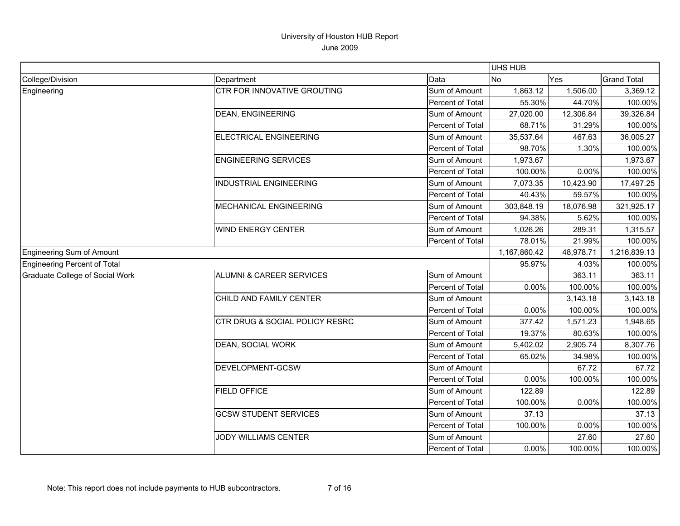|                                 |                                           |                  | <b>UHS HUB</b> |           |                    |
|---------------------------------|-------------------------------------------|------------------|----------------|-----------|--------------------|
| College/Division                | Department                                | Data             | <b>No</b>      | Yes       | <b>Grand Total</b> |
| Engineering                     | <b>CTR FOR INNOVATIVE GROUTING</b>        | Sum of Amount    | 1,863.12       | 1,506.00  | 3,369.12           |
|                                 |                                           | Percent of Total | 55.30%         | 44.70%    | 100.00%            |
|                                 | <b>DEAN, ENGINEERING</b>                  | Sum of Amount    | 27,020.00      | 12,306.84 | 39,326.84          |
|                                 |                                           | Percent of Total | 68.71%         | 31.29%    | 100.00%            |
|                                 | ELECTRICAL ENGINEERING                    | Sum of Amount    | 35,537.64      | 467.63    | 36,005.27          |
|                                 |                                           | Percent of Total | 98.70%         | 1.30%     | 100.00%            |
|                                 | <b>ENGINEERING SERVICES</b>               | Sum of Amount    | 1,973.67       |           | 1,973.67           |
|                                 |                                           | Percent of Total | 100.00%        | 0.00%     | 100.00%            |
|                                 | <b>INDUSTRIAL ENGINEERING</b>             | Sum of Amount    | 7,073.35       | 10,423.90 | 17,497.25          |
|                                 |                                           | Percent of Total | 40.43%         | 59.57%    | 100.00%            |
|                                 | <b>MECHANICAL ENGINEERING</b>             | Sum of Amount    | 303,848.19     | 18,076.98 | 321,925.17         |
|                                 |                                           | Percent of Total | 94.38%         | 5.62%     | 100.00%            |
|                                 | <b>WIND ENERGY CENTER</b>                 | Sum of Amount    | 1,026.26       | 289.31    | 1,315.57           |
|                                 |                                           | Percent of Total | 78.01%         | 21.99%    | 100.00%            |
| Engineering Sum of Amount       |                                           |                  | 1,167,860.42   | 48,978.71 | 1,216,839.13       |
| Engineering Percent of Total    |                                           |                  | 95.97%         | 4.03%     | 100.00%            |
| Graduate College of Social Work | ALUMNI & CAREER SERVICES                  | Sum of Amount    |                | 363.11    | 363.11             |
|                                 |                                           | Percent of Total | 0.00%          | 100.00%   | 100.00%            |
|                                 | CHILD AND FAMILY CENTER                   | Sum of Amount    |                | 3,143.18  | 3,143.18           |
|                                 |                                           | Percent of Total | 0.00%          | 100.00%   | 100.00%            |
|                                 | <b>CTR DRUG &amp; SOCIAL POLICY RESRC</b> | Sum of Amount    | 377.42         | 1,571.23  | 1,948.65           |
|                                 |                                           | Percent of Total | 19.37%         | 80.63%    | 100.00%            |
|                                 | DEAN, SOCIAL WORK                         | Sum of Amount    | 5,402.02       | 2,905.74  | 8,307.76           |
|                                 |                                           | Percent of Total | 65.02%         | 34.98%    | 100.00%            |
|                                 | DEVELOPMENT-GCSW                          | Sum of Amount    |                | 67.72     | 67.72              |
|                                 |                                           | Percent of Total | 0.00%          | 100.00%   | 100.00%            |
|                                 | <b>FIELD OFFICE</b>                       | Sum of Amount    | 122.89         |           | 122.89             |
|                                 |                                           | Percent of Total | 100.00%        | 0.00%     | 100.00%            |
|                                 | <b>GCSW STUDENT SERVICES</b>              | Sum of Amount    | 37.13          |           | 37.13              |
|                                 |                                           | Percent of Total | 100.00%        | 0.00%     | 100.00%            |
|                                 | JODY WILLIAMS CENTER                      | Sum of Amount    |                | 27.60     | 27.60              |
|                                 |                                           | Percent of Total | 0.00%          | 100.00%   | 100.00%            |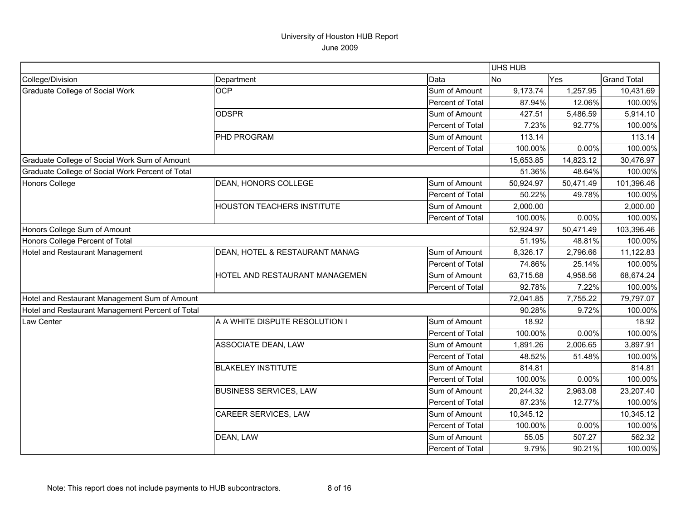|                                                  |                                   |                  | <b>UHS HUB</b> |           |                    |
|--------------------------------------------------|-----------------------------------|------------------|----------------|-----------|--------------------|
| College/Division                                 | Department                        | Data             | <b>No</b>      | Yes       | <b>Grand Total</b> |
| <b>Graduate College of Social Work</b>           | <b>OCP</b>                        | Sum of Amount    | 9,173.74       | 1,257.95  | 10,431.69          |
|                                                  |                                   | Percent of Total | 87.94%         | 12.06%    | 100.00%            |
|                                                  | <b>ODSPR</b>                      | Sum of Amount    | 427.51         | 5,486.59  | 5,914.10           |
|                                                  |                                   | Percent of Total | 7.23%          | 92.77%    | 100.00%            |
|                                                  | <b>PHD PROGRAM</b>                | Sum of Amount    | 113.14         |           | 113.14             |
|                                                  |                                   | Percent of Total | 100.00%        | 0.00%     | 100.00%            |
| Graduate College of Social Work Sum of Amount    |                                   |                  | 15,653.85      | 14,823.12 | 30,476.97          |
| Graduate College of Social Work Percent of Total |                                   |                  | 51.36%         | 48.64%    | 100.00%            |
| <b>Honors College</b>                            | DEAN, HONORS COLLEGE              | Sum of Amount    | 50,924.97      | 50,471.49 | 101,396.46         |
|                                                  |                                   | Percent of Total | 50.22%         | 49.78%    | 100.00%            |
|                                                  | <b>HOUSTON TEACHERS INSTITUTE</b> | Sum of Amount    | 2,000.00       |           | 2,000.00           |
|                                                  |                                   | Percent of Total | 100.00%        | 0.00%     | 100.00%            |
| Honors College Sum of Amount                     |                                   |                  | 52,924.97      | 50,471.49 | 103,396.46         |
| Honors College Percent of Total                  |                                   |                  | 51.19%         | 48.81%    | 100.00%            |
| Hotel and Restaurant Management                  | DEAN, HOTEL & RESTAURANT MANAG    | Sum of Amount    | 8,326.17       | 2,796.66  | 11,122.83          |
|                                                  |                                   | Percent of Total | 74.86%         | 25.14%    | 100.00%            |
|                                                  | HOTEL AND RESTAURANT MANAGEMEN    | Sum of Amount    | 63,715.68      | 4,958.56  | 68,674.24          |
|                                                  |                                   | Percent of Total | 92.78%         | 7.22%     | 100.00%            |
| Hotel and Restaurant Management Sum of Amount    |                                   |                  | 72,041.85      | 7,755.22  | 79,797.07          |
| Hotel and Restaurant Management Percent of Total |                                   |                  | 90.28%         | 9.72%     | 100.00%            |
| Law Center                                       | A A WHITE DISPUTE RESOLUTION I    | Sum of Amount    | 18.92          |           | 18.92              |
|                                                  |                                   | Percent of Total | 100.00%        | 0.00%     | 100.00%            |
|                                                  | <b>ASSOCIATE DEAN, LAW</b>        | Sum of Amount    | 1,891.26       | 2,006.65  | 3,897.91           |
|                                                  |                                   | Percent of Total | 48.52%         | 51.48%    | 100.00%            |
|                                                  | <b>BLAKELEY INSTITUTE</b>         | Sum of Amount    | 814.81         |           | 814.81             |
|                                                  |                                   | Percent of Total | 100.00%        | 0.00%     | 100.00%            |
|                                                  | <b>BUSINESS SERVICES, LAW</b>     | Sum of Amount    | 20,244.32      | 2,963.08  | 23,207.40          |
|                                                  |                                   | Percent of Total | 87.23%         | 12.77%    | 100.00%            |
|                                                  | CAREER SERVICES, LAW              | Sum of Amount    | 10,345.12      |           | 10,345.12          |
|                                                  |                                   | Percent of Total | 100.00%        | 0.00%     | 100.00%            |
|                                                  | DEAN, LAW                         | Sum of Amount    | 55.05          | 507.27    | 562.32             |
|                                                  |                                   | Percent of Total | 9.79%          | 90.21%    | 100.00%            |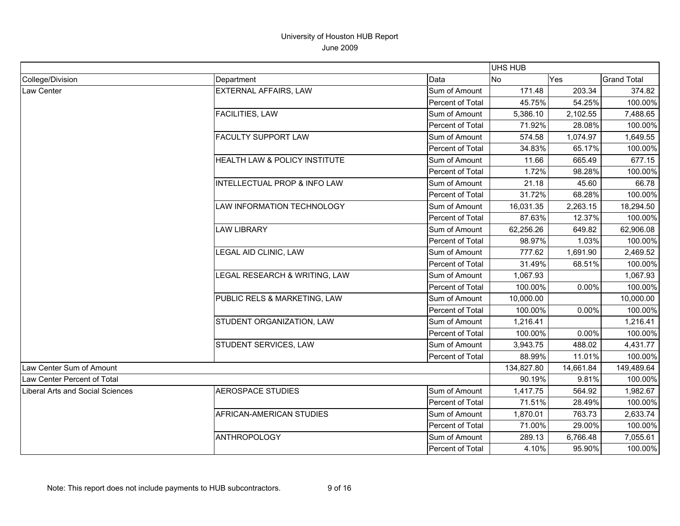|                                         |                               |                  | UHS HUB    |           |                    |
|-----------------------------------------|-------------------------------|------------------|------------|-----------|--------------------|
| College/Division                        | Department                    | Data             | <b>No</b>  | Yes       | <b>Grand Total</b> |
| Law Center                              | <b>EXTERNAL AFFAIRS, LAW</b>  | Sum of Amount    | 171.48     | 203.34    | 374.82             |
|                                         |                               | Percent of Total | 45.75%     | 54.25%    | 100.00%            |
|                                         | FACILITIES, LAW               | Sum of Amount    | 5,386.10   | 2,102.55  | 7,488.65           |
|                                         |                               | Percent of Total | 71.92%     | 28.08%    | 100.00%            |
|                                         | <b>FACULTY SUPPORT LAW</b>    | Sum of Amount    | 574.58     | 1,074.97  | 1,649.55           |
|                                         |                               | Percent of Total | 34.83%     | 65.17%    | 100.00%            |
|                                         | HEALTH LAW & POLICY INSTITUTE | Sum of Amount    | 11.66      | 665.49    | 677.15             |
|                                         |                               | Percent of Total | 1.72%      | 98.28%    | 100.00%            |
|                                         | INTELLECTUAL PROP & INFO LAW  | Sum of Amount    | 21.18      | 45.60     | 66.78              |
|                                         |                               | Percent of Total | 31.72%     | 68.28%    | 100.00%            |
|                                         | LAW INFORMATION TECHNOLOGY    | Sum of Amount    | 16,031.35  | 2,263.15  | 18,294.50          |
|                                         |                               | Percent of Total | 87.63%     | 12.37%    | 100.00%            |
|                                         | <b>LAW LIBRARY</b>            | Sum of Amount    | 62,256.26  | 649.82    | 62,906.08          |
|                                         |                               | Percent of Total | 98.97%     | 1.03%     | 100.00%            |
|                                         | LEGAL AID CLINIC, LAW         | Sum of Amount    | 777.62     | 1,691.90  | 2,469.52           |
|                                         |                               | Percent of Total | 31.49%     | 68.51%    | 100.00%            |
|                                         | LEGAL RESEARCH & WRITING, LAW | Sum of Amount    | 1,067.93   |           | 1,067.93           |
|                                         |                               | Percent of Total | 100.00%    | 0.00%     | 100.00%            |
|                                         | PUBLIC RELS & MARKETING, LAW  | Sum of Amount    | 10,000.00  |           | 10,000.00          |
|                                         |                               | Percent of Total | 100.00%    | 0.00%     | 100.00%            |
|                                         | STUDENT ORGANIZATION, LAW     | Sum of Amount    | 1,216.41   |           | 1,216.41           |
|                                         |                               | Percent of Total | 100.00%    | 0.00%     | 100.00%            |
|                                         | STUDENT SERVICES, LAW         | Sum of Amount    | 3,943.75   | 488.02    | 4,431.77           |
|                                         |                               | Percent of Total | 88.99%     | 11.01%    | 100.00%            |
| Law Center Sum of Amount                |                               |                  | 134,827.80 | 14,661.84 | 149,489.64         |
| Law Center Percent of Total             |                               |                  | 90.19%     | 9.81%     | 100.00%            |
| <b>Liberal Arts and Social Sciences</b> | <b>AEROSPACE STUDIES</b>      | Sum of Amount    | 1,417.75   | 564.92    | 1,982.67           |
|                                         |                               | Percent of Total | 71.51%     | 28.49%    | 100.00%            |
|                                         | AFRICAN-AMERICAN STUDIES      | Sum of Amount    | 1,870.01   | 763.73    | 2,633.74           |
|                                         |                               | Percent of Total | 71.00%     | 29.00%    | 100.00%            |
|                                         | <b>ANTHROPOLOGY</b>           | Sum of Amount    | 289.13     | 6,766.48  | 7,055.61           |
|                                         |                               | Percent of Total | 4.10%      | 95.90%    | 100.00%            |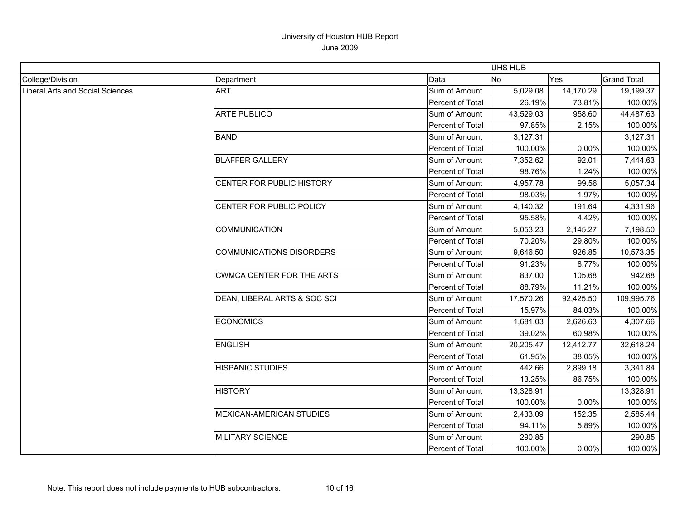|                                  |                                  |                         | <b>UHS HUB</b> |           |                    |
|----------------------------------|----------------------------------|-------------------------|----------------|-----------|--------------------|
| College/Division                 | Department                       | Data                    | <b>No</b>      | Yes       | <b>Grand Total</b> |
| Liberal Arts and Social Sciences | <b>ART</b>                       | Sum of Amount           | 5,029.08       | 14,170.29 | 19,199.37          |
|                                  |                                  | Percent of Total        | 26.19%         | 73.81%    | 100.00%            |
|                                  | <b>ARTE PUBLICO</b>              | Sum of Amount           | 43,529.03      | 958.60    | 44,487.63          |
|                                  |                                  | Percent of Total        | 97.85%         | 2.15%     | 100.00%            |
|                                  | <b>BAND</b>                      | Sum of Amount           | 3,127.31       |           | 3,127.31           |
|                                  |                                  | Percent of Total        | 100.00%        | 0.00%     | 100.00%            |
|                                  | <b>BLAFFER GALLERY</b>           | Sum of Amount           | 7,352.62       | 92.01     | 7,444.63           |
|                                  |                                  | Percent of Total        | 98.76%         | 1.24%     | 100.00%            |
|                                  | CENTER FOR PUBLIC HISTORY        | Sum of Amount           | 4,957.78       | 99.56     | 5,057.34           |
|                                  |                                  | Percent of Total        | 98.03%         | 1.97%     | 100.00%            |
|                                  | CENTER FOR PUBLIC POLICY         | Sum of Amount           | 4,140.32       | 191.64    | 4,331.96           |
|                                  |                                  | Percent of Total        | 95.58%         | 4.42%     | 100.00%            |
|                                  | <b>COMMUNICATION</b>             | Sum of Amount           | 5,053.23       | 2,145.27  | 7,198.50           |
|                                  |                                  | Percent of Total        | 70.20%         | 29.80%    | 100.00%            |
|                                  | <b>COMMUNICATIONS DISORDERS</b>  | Sum of Amount           | 9,646.50       | 926.85    | 10,573.35          |
|                                  |                                  | Percent of Total        | 91.23%         | 8.77%     | 100.00%            |
|                                  | <b>CWMCA CENTER FOR THE ARTS</b> | Sum of Amount           | 837.00         | 105.68    | 942.68             |
|                                  |                                  | <b>Percent of Total</b> | 88.79%         | 11.21%    | 100.00%            |
|                                  | DEAN, LIBERAL ARTS & SOC SCI     | Sum of Amount           | 17,570.26      | 92,425.50 | 109,995.76         |
|                                  |                                  | Percent of Total        | 15.97%         | 84.03%    | 100.00%            |
|                                  | <b>ECONOMICS</b>                 | Sum of Amount           | 1,681.03       | 2,626.63  | 4,307.66           |
|                                  |                                  | Percent of Total        | 39.02%         | 60.98%    | 100.00%            |
|                                  | <b>ENGLISH</b>                   | Sum of Amount           | 20,205.47      | 12,412.77 | 32,618.24          |
|                                  |                                  | Percent of Total        | 61.95%         | 38.05%    | 100.00%            |
|                                  | <b>HISPANIC STUDIES</b>          | Sum of Amount           | 442.66         | 2,899.18  | 3,341.84           |
|                                  |                                  | Percent of Total        | 13.25%         | 86.75%    | 100.00%            |
|                                  | <b>HISTORY</b>                   | Sum of Amount           | 13,328.91      |           | 13,328.91          |
|                                  |                                  | Percent of Total        | 100.00%        | 0.00%     | 100.00%            |
|                                  | <b>MEXICAN-AMERICAN STUDIES</b>  | Sum of Amount           | 2,433.09       | 152.35    | 2,585.44           |
|                                  |                                  | Percent of Total        | 94.11%         | 5.89%     | 100.00%            |
|                                  | <b>MILITARY SCIENCE</b>          | Sum of Amount           | 290.85         |           | 290.85             |
|                                  |                                  | Percent of Total        | 100.00%        | 0.00%     | 100.00%            |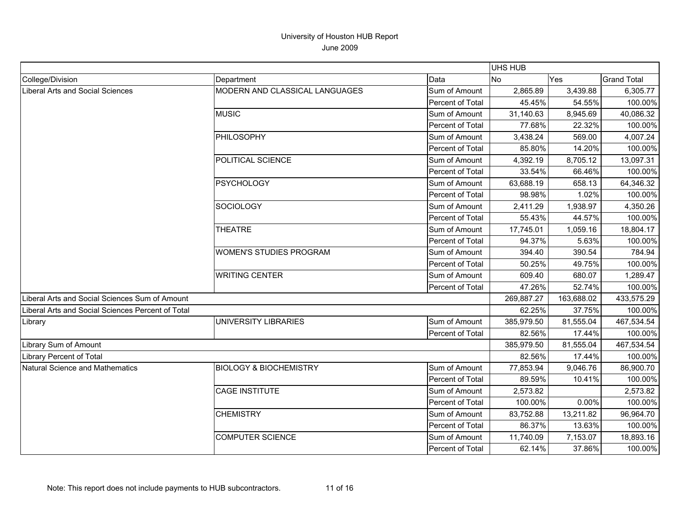|                                                   |                                   |                  | <b>UHS HUB</b> |            |                    |
|---------------------------------------------------|-----------------------------------|------------------|----------------|------------|--------------------|
| College/Division                                  | Department                        | Data             | No             | Yes        | <b>Grand Total</b> |
| Liberal Arts and Social Sciences                  | MODERN AND CLASSICAL LANGUAGES    | Sum of Amount    | 2,865.89       | 3,439.88   | 6,305.77           |
|                                                   |                                   | Percent of Total | 45.45%         | 54.55%     | 100.00%            |
|                                                   | <b>MUSIC</b>                      | Sum of Amount    | 31,140.63      | 8,945.69   | 40,086.32          |
|                                                   |                                   | Percent of Total | 77.68%         | 22.32%     | 100.00%            |
|                                                   | <b>PHILOSOPHY</b>                 | Sum of Amount    | 3,438.24       | 569.00     | 4,007.24           |
|                                                   |                                   | Percent of Total | 85.80%         | 14.20%     | 100.00%            |
|                                                   | POLITICAL SCIENCE                 | Sum of Amount    | 4,392.19       | 8,705.12   | 13,097.31          |
|                                                   |                                   | Percent of Total | 33.54%         | 66.46%     | 100.00%            |
|                                                   | <b>PSYCHOLOGY</b>                 | Sum of Amount    | 63,688.19      | 658.13     | 64,346.32          |
|                                                   |                                   | Percent of Total | 98.98%         | 1.02%      | 100.00%            |
|                                                   | <b>SOCIOLOGY</b>                  | Sum of Amount    | 2,411.29       | 1,938.97   | 4,350.26           |
|                                                   |                                   | Percent of Total | 55.43%         | 44.57%     | 100.00%            |
|                                                   | <b>THEATRE</b>                    | Sum of Amount    | 17,745.01      | 1,059.16   | 18,804.17          |
|                                                   |                                   | Percent of Total | 94.37%         | 5.63%      | 100.00%            |
|                                                   | <b>WOMEN'S STUDIES PROGRAM</b>    | Sum of Amount    | 394.40         | 390.54     | 784.94             |
|                                                   |                                   | Percent of Total | 50.25%         | 49.75%     | 100.00%            |
|                                                   | <b>WRITING CENTER</b>             | Sum of Amount    | 609.40         | 680.07     | 1,289.47           |
|                                                   |                                   | Percent of Total | 47.26%         | 52.74%     | 100.00%            |
| Liberal Arts and Social Sciences Sum of Amount    |                                   |                  | 269,887.27     | 163,688.02 | 433,575.29         |
| Liberal Arts and Social Sciences Percent of Total |                                   |                  | 62.25%         | 37.75%     | 100.00%            |
| Library                                           | <b>UNIVERSITY LIBRARIES</b>       | Sum of Amount    | 385,979.50     | 81,555.04  | 467,534.54         |
|                                                   |                                   | Percent of Total | 82.56%         | 17.44%     | 100.00%            |
| Library Sum of Amount                             |                                   |                  | 385,979.50     | 81,555.04  | 467,534.54         |
| <b>Library Percent of Total</b>                   |                                   |                  | 82.56%         | 17.44%     | 100.00%            |
| Natural Science and Mathematics                   | <b>BIOLOGY &amp; BIOCHEMISTRY</b> | Sum of Amount    | 77,853.94      | 9,046.76   | 86,900.70          |
|                                                   |                                   | Percent of Total | 89.59%         | 10.41%     | 100.00%            |
|                                                   | <b>CAGE INSTITUTE</b>             | Sum of Amount    | 2,573.82       |            | 2,573.82           |
|                                                   |                                   | Percent of Total | 100.00%        | 0.00%      | 100.00%            |
|                                                   | <b>CHEMISTRY</b>                  | Sum of Amount    | 83,752.88      | 13,211.82  | 96,964.70          |
|                                                   |                                   | Percent of Total | 86.37%         | 13.63%     | 100.00%            |
|                                                   | <b>COMPUTER SCIENCE</b>           | Sum of Amount    | 11,740.09      | 7,153.07   | 18,893.16          |
|                                                   |                                   | Percent of Total | 62.14%         | 37.86%     | 100.00%            |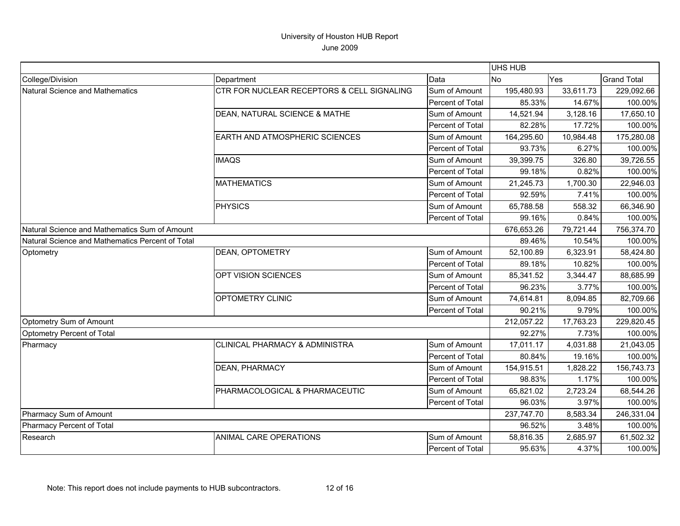|                                                  |                                            |                         | UHS HUB    |            |                    |
|--------------------------------------------------|--------------------------------------------|-------------------------|------------|------------|--------------------|
| College/Division                                 | Department                                 | Data                    | lNo.       | Yes        | <b>Grand Total</b> |
| <b>Natural Science and Mathematics</b>           | CTR FOR NUCLEAR RECEPTORS & CELL SIGNALING | Sum of Amount           | 195,480.93 | 33,611.73  | 229,092.66         |
|                                                  |                                            | Percent of Total        | 85.33%     | 14.67%     | 100.00%            |
|                                                  | DEAN, NATURAL SCIENCE & MATHE              | Sum of Amount           | 14,521.94  | 3,128.16   | 17,650.10          |
|                                                  |                                            | Percent of Total        | 82.28%     | 17.72%     | 100.00%            |
|                                                  | EARTH AND ATMOSPHERIC SCIENCES             | Sum of Amount           | 164,295.60 | 10,984.48  | 175,280.08         |
|                                                  |                                            | Percent of Total        | 93.73%     | 6.27%      | 100.00%            |
|                                                  | <b>IMAQS</b>                               | Sum of Amount           | 39,399.75  | 326.80     | 39,726.55          |
|                                                  |                                            | <b>Percent of Total</b> | 99.18%     | 0.82%      | 100.00%            |
|                                                  | <b>MATHEMATICS</b>                         | Sum of Amount           | 21,245.73  | 1,700.30   | 22,946.03          |
|                                                  |                                            | Percent of Total        | 92.59%     | 7.41%      | 100.00%            |
|                                                  | PHYSICS                                    | Sum of Amount           | 65,788.58  | 558.32     | 66,346.90          |
|                                                  |                                            | Percent of Total        | 99.16%     | 0.84%      | 100.00%            |
| Natural Science and Mathematics Sum of Amount    |                                            | 676,653.26              | 79,721.44  | 756,374.70 |                    |
| Natural Science and Mathematics Percent of Total |                                            |                         | 89.46%     | 10.54%     | 100.00%            |
| Optometry                                        | <b>DEAN, OPTOMETRY</b>                     | Sum of Amount           | 52,100.89  | 6,323.91   | 58,424.80          |
|                                                  |                                            | Percent of Total        | 89.18%     | 10.82%     | 100.00%            |
|                                                  | OPT VISION SCIENCES                        | Sum of Amount           | 85,341.52  | 3,344.47   | 88,685.99          |
|                                                  |                                            | Percent of Total        | 96.23%     | 3.77%      | 100.00%            |
|                                                  | OPTOMETRY CLINIC                           | Sum of Amount           | 74,614.81  | 8,094.85   | 82,709.66          |
|                                                  |                                            | Percent of Total        | 90.21%     | 9.79%      | 100.00%            |
| Optometry Sum of Amount                          |                                            |                         | 212,057.22 | 17,763.23  | 229,820.45         |
| Optometry Percent of Total                       |                                            |                         | 92.27%     | 7.73%      | 100.00%            |
| Pharmacy                                         | CLINICAL PHARMACY & ADMINISTRA             | Sum of Amount           | 17,011.17  | 4,031.88   | 21,043.05          |
|                                                  |                                            | Percent of Total        | 80.84%     | 19.16%     | 100.00%            |
|                                                  | DEAN, PHARMACY                             | Sum of Amount           | 154,915.51 | 1,828.22   | 156,743.73         |
|                                                  |                                            | Percent of Total        | 98.83%     | 1.17%      | 100.00%            |
|                                                  | PHARMACOLOGICAL & PHARMACEUTIC             | Sum of Amount           | 65,821.02  | 2,723.24   | 68,544.26          |
|                                                  |                                            | Percent of Total        | 96.03%     | 3.97%      | 100.00%            |
| Pharmacy Sum of Amount                           |                                            |                         | 237,747.70 | 8,583.34   | 246,331.04         |
| Pharmacy Percent of Total                        |                                            |                         | 96.52%     | 3.48%      | 100.00%            |
| Research                                         | ANIMAL CARE OPERATIONS                     | Sum of Amount           | 58,816.35  | 2,685.97   | 61,502.32          |
|                                                  |                                            | Percent of Total        | 95.63%     | 4.37%      | 100.00%            |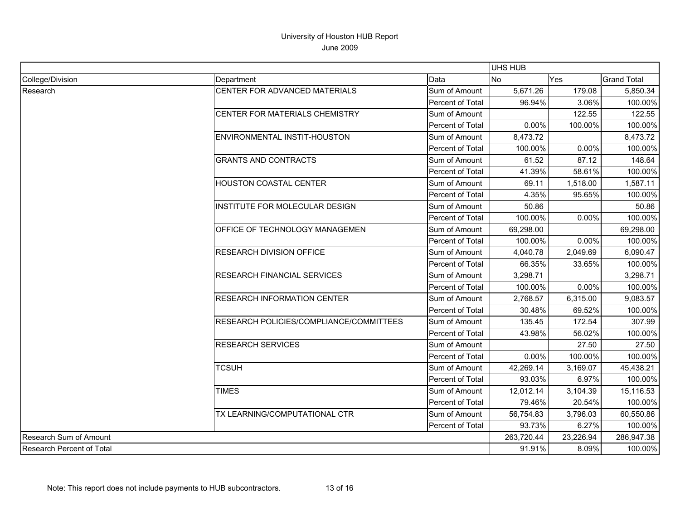|                                  |                                         |                  | UHS HUB   |            |                    |
|----------------------------------|-----------------------------------------|------------------|-----------|------------|--------------------|
| College/Division                 | Department                              | Data             | No        | Yes        | <b>Grand Total</b> |
| Research                         | CENTER FOR ADVANCED MATERIALS           | Sum of Amount    | 5,671.26  | 179.08     | 5,850.34           |
|                                  |                                         | Percent of Total | 96.94%    | 3.06%      | 100.00%            |
|                                  | CENTER FOR MATERIALS CHEMISTRY          | Sum of Amount    |           | 122.55     | 122.55             |
|                                  |                                         | Percent of Total | 0.00%     | 100.00%    | 100.00%            |
|                                  | ENVIRONMENTAL INSTIT-HOUSTON            | Sum of Amount    | 8,473.72  |            | 8,473.72           |
|                                  |                                         | Percent of Total | 100.00%   | 0.00%      | 100.00%            |
|                                  | <b>GRANTS AND CONTRACTS</b>             | Sum of Amount    | 61.52     | 87.12      | 148.64             |
|                                  |                                         | Percent of Total | 41.39%    | 58.61%     | 100.00%            |
|                                  | HOUSTON COASTAL CENTER                  | Sum of Amount    | 69.11     | 1,518.00   | 1,587.11           |
|                                  |                                         | Percent of Total | 4.35%     | 95.65%     | 100.00%            |
|                                  | <b>INSTITUTE FOR MOLECULAR DESIGN</b>   | Sum of Amount    | 50.86     |            | 50.86              |
|                                  |                                         | Percent of Total | 100.00%   | 0.00%      | 100.00%            |
|                                  | <b>OFFICE OF TECHNOLOGY MANAGEMEN</b>   | Sum of Amount    | 69,298.00 |            | 69,298.00          |
|                                  |                                         | Percent of Total | 100.00%   | 0.00%      | 100.00%            |
|                                  | RESEARCH DIVISION OFFICE                | Sum of Amount    | 4,040.78  | 2,049.69   | 6,090.47           |
|                                  |                                         | Percent of Total | 66.35%    | 33.65%     | 100.00%            |
|                                  | <b>RESEARCH FINANCIAL SERVICES</b>      | Sum of Amount    | 3,298.71  |            | 3,298.71           |
|                                  |                                         | Percent of Total | 100.00%   | 0.00%      | 100.00%            |
|                                  | <b>RESEARCH INFORMATION CENTER</b>      | Sum of Amount    | 2,768.57  | 6,315.00   | 9,083.57           |
|                                  |                                         | Percent of Total | 30.48%    | 69.52%     | 100.00%            |
|                                  | RESEARCH POLICIES/COMPLIANCE/COMMITTEES | Sum of Amount    | 135.45    | 172.54     | 307.99             |
|                                  |                                         | Percent of Total | 43.98%    | 56.02%     | 100.00%            |
|                                  | <b>RESEARCH SERVICES</b>                | Sum of Amount    |           | 27.50      | 27.50              |
|                                  |                                         | Percent of Total | 0.00%     | 100.00%    | 100.00%            |
|                                  | <b>TCSUH</b>                            | Sum of Amount    | 42,269.14 | 3,169.07   | 45,438.21          |
|                                  |                                         | Percent of Total | 93.03%    | 6.97%      | 100.00%            |
|                                  | <b>TIMES</b>                            | Sum of Amount    | 12,012.14 | 3,104.39   | 15,116.53          |
|                                  |                                         | Percent of Total | 79.46%    | 20.54%     | 100.00%            |
|                                  | TX LEARNING/COMPUTATIONAL CTR           | Sum of Amount    | 56,754.83 | 3,796.03   | 60,550.86          |
|                                  |                                         | Percent of Total | 93.73%    | 6.27%      | 100.00%            |
| Research Sum of Amount           |                                         | 263,720.44       | 23,226.94 | 286,947.38 |                    |
| <b>Research Percent of Total</b> |                                         |                  | 91.91%    | 8.09%      | 100.00%            |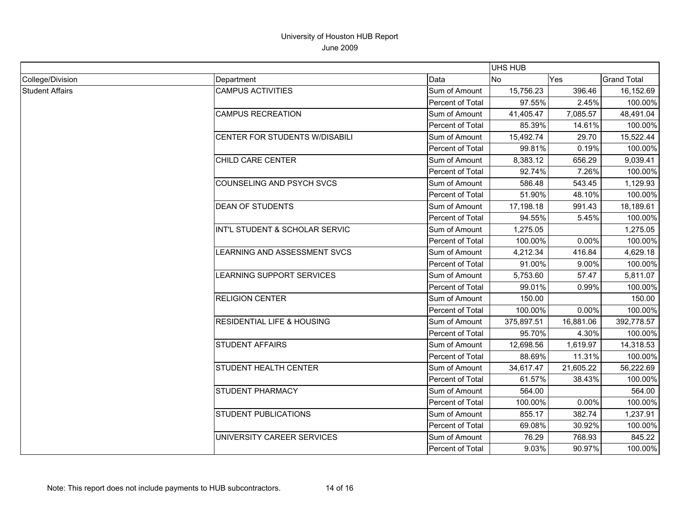|                        |                                       |                         | <b>UHS HUB</b> |           |                    |  |
|------------------------|---------------------------------------|-------------------------|----------------|-----------|--------------------|--|
| College/Division       | Department                            | Data                    | <b>No</b>      | Yes       | <b>Grand Total</b> |  |
| <b>Student Affairs</b> | <b>CAMPUS ACTIVITIES</b>              | Sum of Amount           | 15,756.23      | 396.46    | 16, 152.69         |  |
|                        |                                       | <b>Percent of Total</b> | 97.55%         | 2.45%     | 100.00%            |  |
|                        | <b>CAMPUS RECREATION</b>              | Sum of Amount           | 41,405.47      | 7,085.57  | 48,491.04          |  |
|                        |                                       | Percent of Total        | 85.39%         | 14.61%    | 100.00%            |  |
|                        | <b>CENTER FOR STUDENTS W/DISABILI</b> | Sum of Amount           | 15.492.74      | 29.70     | 15,522.44          |  |
|                        |                                       | Percent of Total        | 99.81%         | 0.19%     | 100.00%            |  |
|                        | CHILD CARE CENTER                     | Sum of Amount           | 8,383.12       | 656.29    | 9,039.41           |  |
|                        |                                       | Percent of Total        | 92.74%         | 7.26%     | 100.00%            |  |
|                        | COUNSELING AND PSYCH SVCS             | Sum of Amount           | 586.48         | 543.45    | 1,129.93           |  |
|                        |                                       | Percent of Total        | 51.90%         | 48.10%    | 100.00%            |  |
|                        | <b>DEAN OF STUDENTS</b>               | Sum of Amount           | 17,198.18      | 991.43    | 18,189.61          |  |
|                        |                                       | Percent of Total        | 94.55%         | 5.45%     | 100.00%            |  |
|                        | INT'L STUDENT & SCHOLAR SERVIC        | Sum of Amount           | 1,275.05       |           | 1,275.05           |  |
|                        |                                       | Percent of Total        | 100.00%        | 0.00%     | 100.00%            |  |
|                        | LEARNING AND ASSESSMENT SVCS          | Sum of Amount           | 4,212.34       | 416.84    | 4,629.18           |  |
|                        |                                       | Percent of Total        | 91.00%         | 9.00%     | 100.00%            |  |
|                        | LEARNING SUPPORT SERVICES             | Sum of Amount           | 5,753.60       | 57.47     | 5,811.07           |  |
|                        |                                       | Percent of Total        | 99.01%         | 0.99%     | 100.00%            |  |
|                        | <b>RELIGION CENTER</b>                | Sum of Amount           | 150.00         |           | 150.00             |  |
|                        |                                       | Percent of Total        | 100.00%        | 0.00%     | 100.00%            |  |
|                        | <b>RESIDENTIAL LIFE &amp; HOUSING</b> | Sum of Amount           | 375,897.51     | 16,881.06 | 392,778.57         |  |
|                        |                                       | Percent of Total        | 95.70%         | 4.30%     | 100.00%            |  |
|                        | <b>STUDENT AFFAIRS</b>                | Sum of Amount           | 12,698.56      | 1,619.97  | 14,318.53          |  |
|                        |                                       | Percent of Total        | 88.69%         | 11.31%    | 100.00%            |  |
|                        | STUDENT HEALTH CENTER                 | Sum of Amount           | 34,617.47      | 21,605.22 | 56,222.69          |  |
|                        |                                       | Percent of Total        | 61.57%         | 38.43%    | 100.00%            |  |
|                        | STUDENT PHARMACY                      | Sum of Amount           | 564.00         |           | 564.00             |  |
|                        |                                       | Percent of Total        | 100.00%        | 0.00%     | 100.00%            |  |
|                        | <b>STUDENT PUBLICATIONS</b>           | Sum of Amount           | 855.17         | 382.74    | 1,237.91           |  |
|                        |                                       | Percent of Total        | 69.08%         | 30.92%    | 100.00%            |  |
|                        | UNIVERSITY CAREER SERVICES            | Sum of Amount           | 76.29          | 768.93    | 845.22             |  |
|                        |                                       | Percent of Total        | 9.03%          | 90.97%    | 100.00%            |  |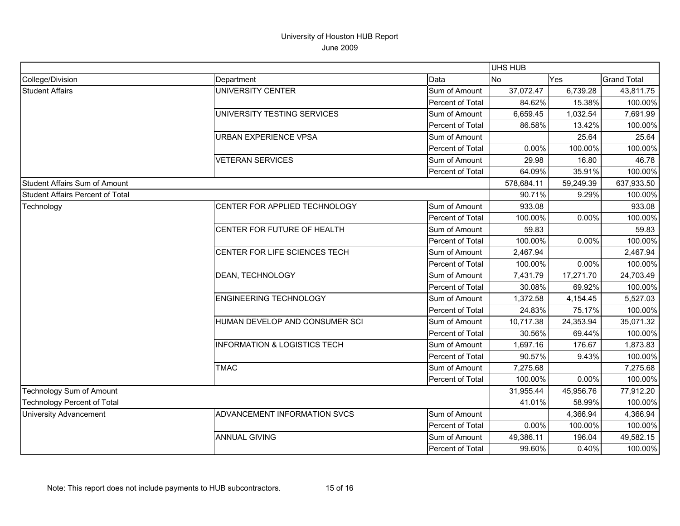|                                         |                                         |                  | <b>UHS HUB</b> |           |                    |
|-----------------------------------------|-----------------------------------------|------------------|----------------|-----------|--------------------|
| College/Division                        | Department                              | Data             | No             | Yes       | <b>Grand Total</b> |
| <b>Student Affairs</b>                  | <b>UNIVERSITY CENTER</b>                | Sum of Amount    | 37,072.47      | 6,739.28  | 43,811.75          |
|                                         |                                         | Percent of Total | 84.62%         | 15.38%    | 100.00%            |
|                                         | UNIVERSITY TESTING SERVICES             | Sum of Amount    | 6,659.45       | 1,032.54  | 7,691.99           |
|                                         |                                         | Percent of Total | 86.58%         | 13.42%    | 100.00%            |
|                                         | <b>URBAN EXPERIENCE VPSA</b>            | Sum of Amount    |                | 25.64     | 25.64              |
|                                         |                                         | Percent of Total | 0.00%          | 100.00%   | 100.00%            |
|                                         | <b>VETERAN SERVICES</b>                 | Sum of Amount    | 29.98          | 16.80     | 46.78              |
|                                         |                                         | Percent of Total | 64.09%         | 35.91%    | 100.00%            |
| <b>Student Affairs Sum of Amount</b>    |                                         |                  | 578,684.11     | 59,249.39 | 637,933.50         |
| <b>Student Affairs Percent of Total</b> |                                         |                  | 90.71%         | 9.29%     | 100.00%            |
| Technology                              | CENTER FOR APPLIED TECHNOLOGY           | Sum of Amount    | 933.08         |           | 933.08             |
|                                         |                                         | Percent of Total | 100.00%        | 0.00%     | 100.00%            |
|                                         | CENTER FOR FUTURE OF HEALTH             | Sum of Amount    | 59.83          |           | 59.83              |
|                                         |                                         | Percent of Total | 100.00%        | 0.00%     | 100.00%            |
|                                         | CENTER FOR LIFE SCIENCES TECH           | Sum of Amount    | 2,467.94       |           | 2,467.94           |
|                                         |                                         | Percent of Total | 100.00%        | 0.00%     | 100.00%            |
|                                         | <b>DEAN, TECHNOLOGY</b>                 | Sum of Amount    | 7,431.79       | 17,271.70 | 24,703.49          |
|                                         |                                         | Percent of Total | 30.08%         | 69.92%    | 100.00%            |
|                                         | <b>ENGINEERING TECHNOLOGY</b>           | Sum of Amount    | 1,372.58       | 4,154.45  | 5,527.03           |
|                                         |                                         | Percent of Total | 24.83%         | 75.17%    | 100.00%            |
|                                         | HUMAN DEVELOP AND CONSUMER SCI          | Sum of Amount    | 10,717.38      | 24,353.94 | 35,071.32          |
|                                         |                                         | Percent of Total | 30.56%         | 69.44%    | 100.00%            |
|                                         | <b>INFORMATION &amp; LOGISTICS TECH</b> | Sum of Amount    | 1,697.16       | 176.67    | 1,873.83           |
|                                         |                                         | Percent of Total | 90.57%         | 9.43%     | 100.00%            |
|                                         | <b>TMAC</b>                             | Sum of Amount    | 7,275.68       |           | 7,275.68           |
|                                         |                                         | Percent of Total | 100.00%        | 0.00%     | 100.00%            |
| Technology Sum of Amount                |                                         |                  | 31,955.44      | 45,956.76 | 77,912.20          |
| <b>Technology Percent of Total</b>      |                                         | 41.01%           | 58.99%         | 100.00%   |                    |
| <b>University Advancement</b>           | ADVANCEMENT INFORMATION SVCS            | Sum of Amount    |                | 4,366.94  | 4,366.94           |
|                                         |                                         | Percent of Total | 0.00%          | 100.00%   | 100.00%            |
|                                         | <b>ANNUAL GIVING</b>                    | Sum of Amount    | 49,386.11      | 196.04    | 49,582.15          |
|                                         |                                         | Percent of Total | 99.60%         | 0.40%     | 100.00%            |